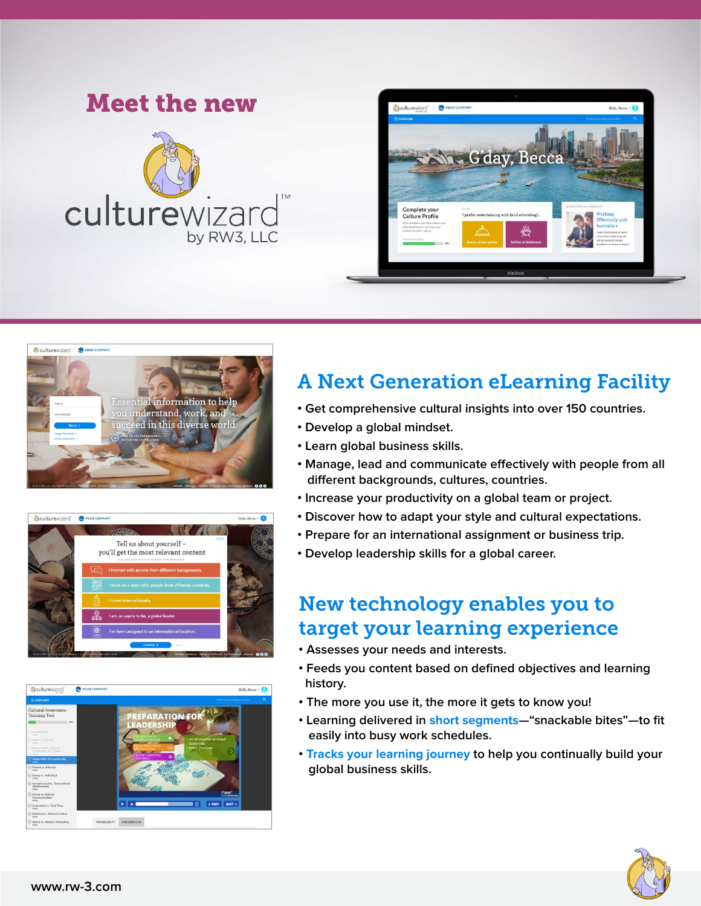# Meet the new culturewizard by RW3. LLC









# A Next Generation eLearning Facility

- **Get comprehensive cultural insights into over 150 countries.**
- **Develop a global mindset.**
- **Learn global business skills.**
- Manage, lead and communicate effectively with people from all  $d$ ifferent backgrounds, cultures, countries.
- **Increase your productivity on a global team or project.**
- **Discover how to adapt your style and cultural expectations.**
- **Prepare for an international assignment or business trip.**
- **Develop leadership skills for a global career.**

# New technology enables you to target your learning experience

- **Assesses your needs and interests.**
- **Feeds you content based on defined objectives and learning history.**
- **The more you use it, the more it gets to know you!**
- **Learning delivered in short segments—"snackable bites"—to fit easily into busy work schedules.**
- **Tracks your learning journey to help you continually build your global business skills.**